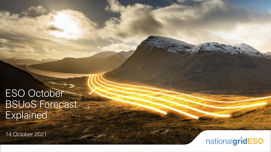# ESO October BSUoS Forecast **Explained**

14 October 2021